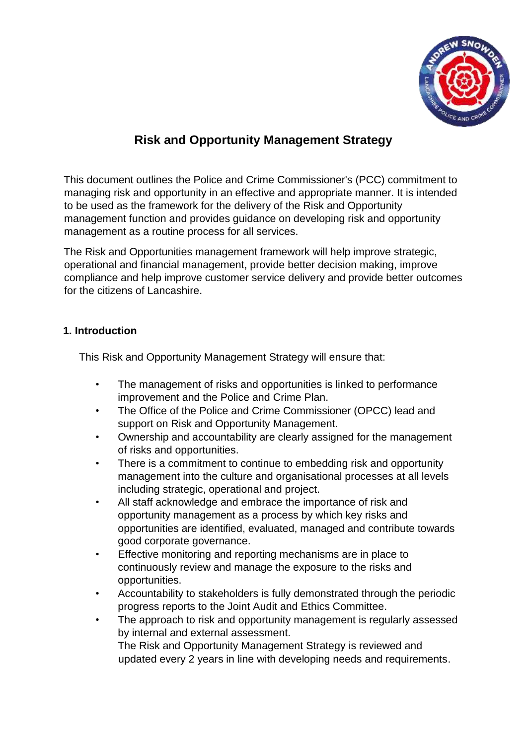

# **Risk and Opportunity Management Strategy**

This document outlines the Police and Crime Commissioner's (PCC) commitment to managing risk and opportunity in an effective and appropriate manner. It is intended to be used as the framework for the delivery of the Risk and Opportunity management function and provides guidance on developing risk and opportunity management as a routine process for all services.

The Risk and Opportunities management framework will help improve strategic, operational and financial management, provide better decision making, improve compliance and help improve customer service delivery and provide better outcomes for the citizens of Lancashire.

# **1. Introduction**

This Risk and Opportunity Management Strategy will ensure that:

- The management of risks and opportunities is linked to performance improvement and the Police and Crime Plan.
- The Office of the Police and Crime Commissioner (OPCC) lead and support on Risk and Opportunity Management.
- Ownership and accountability are clearly assigned for the management of risks and opportunities.
- There is a commitment to continue to embedding risk and opportunity management into the culture and organisational processes at all levels including strategic, operational and project.
- All staff acknowledge and embrace the importance of risk and opportunity management as a process by which key risks and opportunities are identified, evaluated, managed and contribute towards good corporate governance.
- Effective monitoring and reporting mechanisms are in place to continuously review and manage the exposure to the risks and opportunities.
- Accountability to stakeholders is fully demonstrated through the periodic progress reports to the Joint Audit and Ethics Committee.
- The approach to risk and opportunity management is regularly assessed by internal and external assessment. The Risk and Opportunity Management Strategy is reviewed and updated every 2 years in line with developing needs and requirements.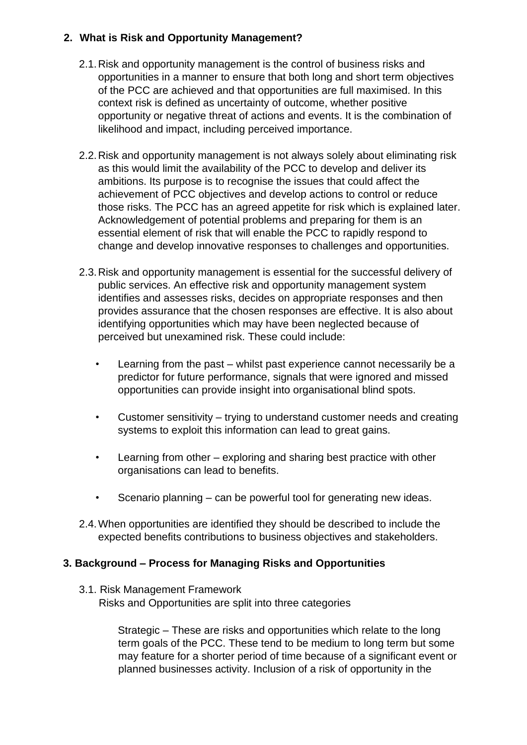# **2. What is Risk and Opportunity Management?**

- 2.1.Risk and opportunity management is the control of business risks and opportunities in a manner to ensure that both long and short term objectives of the PCC are achieved and that opportunities are full maximised. In this context risk is defined as uncertainty of outcome, whether positive opportunity or negative threat of actions and events. It is the combination of likelihood and impact, including perceived importance.
- 2.2.Risk and opportunity management is not always solely about eliminating risk as this would limit the availability of the PCC to develop and deliver its ambitions. Its purpose is to recognise the issues that could affect the achievement of PCC objectives and develop actions to control or reduce those risks. The PCC has an agreed appetite for risk which is explained later. Acknowledgement of potential problems and preparing for them is an essential element of risk that will enable the PCC to rapidly respond to change and develop innovative responses to challenges and opportunities.
- 2.3.Risk and opportunity management is essential for the successful delivery of public services. An effective risk and opportunity management system identifies and assesses risks, decides on appropriate responses and then provides assurance that the chosen responses are effective. It is also about identifying opportunities which may have been neglected because of perceived but unexamined risk. These could include:
	- Learning from the past whilst past experience cannot necessarily be a predictor for future performance, signals that were ignored and missed opportunities can provide insight into organisational blind spots.
	- Customer sensitivity trying to understand customer needs and creating systems to exploit this information can lead to great gains.
	- Learning from other exploring and sharing best practice with other organisations can lead to benefits.
	- Scenario planning can be powerful tool for generating new ideas.
- 2.4.When opportunities are identified they should be described to include the expected benefits contributions to business objectives and stakeholders.

# **3. Background – Process for Managing Risks and Opportunities**

3.1. Risk Management Framework

Risks and Opportunities are split into three categories

Strategic – These are risks and opportunities which relate to the long term goals of the PCC. These tend to be medium to long term but some may feature for a shorter period of time because of a significant event or planned businesses activity. Inclusion of a risk of opportunity in the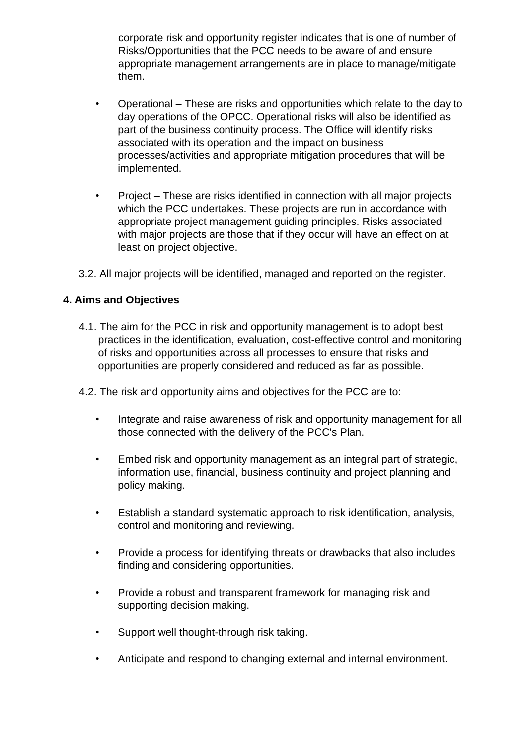corporate risk and opportunity register indicates that is one of number of Risks/Opportunities that the PCC needs to be aware of and ensure appropriate management arrangements are in place to manage/mitigate them.

- Operational These are risks and opportunities which relate to the day to day operations of the OPCC. Operational risks will also be identified as part of the business continuity process. The Office will identify risks associated with its operation and the impact on business processes/activities and appropriate mitigation procedures that will be implemented.
- Project These are risks identified in connection with all major projects which the PCC undertakes. These projects are run in accordance with appropriate project management guiding principles. Risks associated with major projects are those that if they occur will have an effect on at least on project objective.
- 3.2. All major projects will be identified, managed and reported on the register.

# **4. Aims and Objectives**

- 4.1. The aim for the PCC in risk and opportunity management is to adopt best practices in the identification, evaluation, cost-effective control and monitoring of risks and opportunities across all processes to ensure that risks and opportunities are properly considered and reduced as far as possible.
- 4.2. The risk and opportunity aims and objectives for the PCC are to:
	- Integrate and raise awareness of risk and opportunity management for all those connected with the delivery of the PCC's Plan.
	- Embed risk and opportunity management as an integral part of strategic, information use, financial, business continuity and project planning and policy making.
	- Establish a standard systematic approach to risk identification, analysis, control and monitoring and reviewing.
	- Provide a process for identifying threats or drawbacks that also includes finding and considering opportunities.
	- Provide a robust and transparent framework for managing risk and supporting decision making.
	- Support well thought-through risk taking.
	- Anticipate and respond to changing external and internal environment.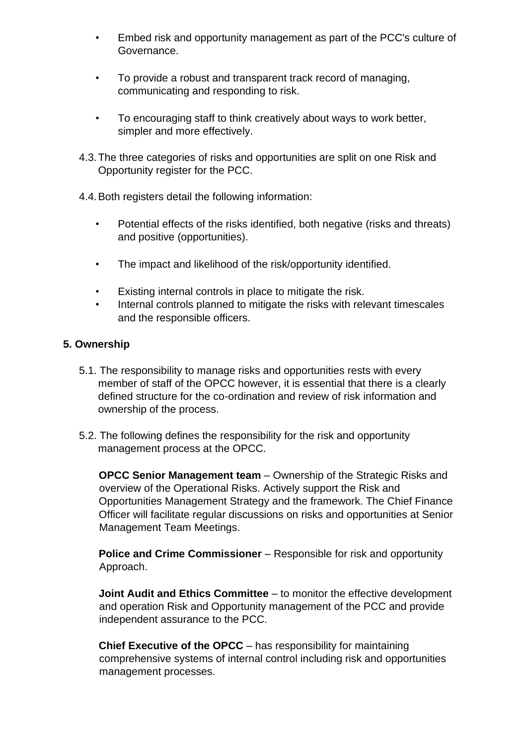- Embed risk and opportunity management as part of the PCC's culture of Governance.
- To provide a robust and transparent track record of managing, communicating and responding to risk.
- To encouraging staff to think creatively about ways to work better, simpler and more effectively.
- 4.3.The three categories of risks and opportunities are split on one Risk and Opportunity register for the PCC.
- 4.4.Both registers detail the following information:
	- Potential effects of the risks identified, both negative (risks and threats) and positive (opportunities).
	- The impact and likelihood of the risk/opportunity identified.
	- Existing internal controls in place to mitigate the risk.
	- Internal controls planned to mitigate the risks with relevant timescales and the responsible officers.

# **5. Ownership**

- 5.1. The responsibility to manage risks and opportunities rests with every member of staff of the OPCC however, it is essential that there is a clearly defined structure for the co-ordination and review of risk information and ownership of the process.
- 5.2. The following defines the responsibility for the risk and opportunity management process at the OPCC.

**OPCC Senior Management team** – Ownership of the Strategic Risks and overview of the Operational Risks. Actively support the Risk and Opportunities Management Strategy and the framework. The Chief Finance Officer will facilitate regular discussions on risks and opportunities at Senior Management Team Meetings.

**Police and Crime Commissioner** – Responsible for risk and opportunity Approach.

**Joint Audit and Ethics Committee** – to monitor the effective development and operation Risk and Opportunity management of the PCC and provide independent assurance to the PCC.

**Chief Executive of the OPCC** – has responsibility for maintaining comprehensive systems of internal control including risk and opportunities management processes.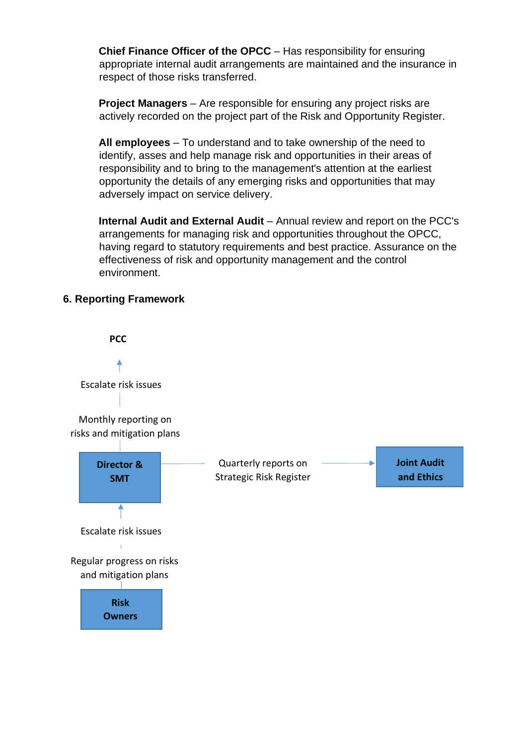**Chief Finance Officer of the OPCC** – Has responsibility for ensuring appropriate internal audit arrangements are maintained and the insurance in respect of those risks transferred.

**Project Managers** – Are responsible for ensuring any project risks are actively recorded on the project part of the Risk and Opportunity Register.

**All employees** – To understand and to take ownership of the need to identify, asses and help manage risk and opportunities in their areas of responsibility and to bring to the management's attention at the earliest opportunity the details of any emerging risks and opportunities that may adversely impact on service delivery.

**Internal Audit and External Audit** – Annual review and report on the PCC's arrangements for managing risk and opportunities throughout the OPCC, having regard to statutory requirements and best practice. Assurance on the effectiveness of risk and opportunity management and the control environment.

## **6. Reporting Framework**

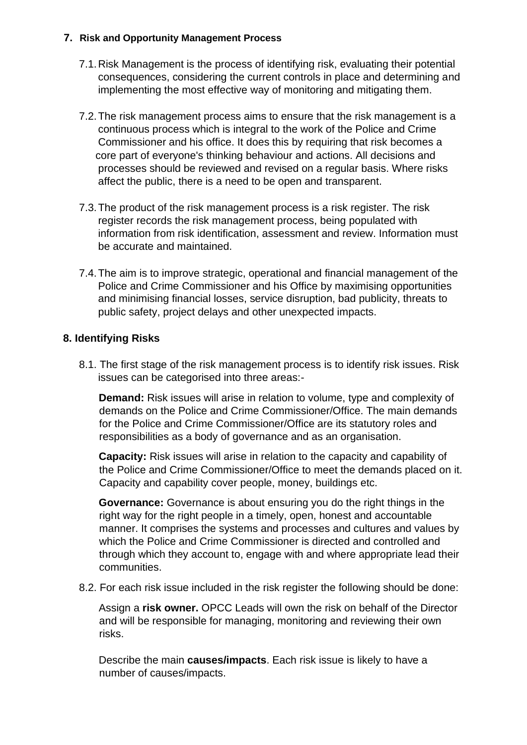#### **7. Risk and Opportunity Management Process**

- 7.1.Risk Management is the process of identifying risk, evaluating their potential consequences, considering the current controls in place and determining and implementing the most effective way of monitoring and mitigating them.
- 7.2.The risk management process aims to ensure that the risk management is a continuous process which is integral to the work of the Police and Crime Commissioner and his office. It does this by requiring that risk becomes a core part of everyone's thinking behaviour and actions. All decisions and processes should be reviewed and revised on a regular basis. Where risks affect the public, there is a need to be open and transparent.
- 7.3.The product of the risk management process is a risk register. The risk register records the risk management process, being populated with information from risk identification, assessment and review. Information must be accurate and maintained.
- 7.4.The aim is to improve strategic, operational and financial management of the Police and Crime Commissioner and his Office by maximising opportunities and minimising financial losses, service disruption, bad publicity, threats to public safety, project delays and other unexpected impacts.

#### **8. Identifying Risks**

8.1. The first stage of the risk management process is to identify risk issues. Risk issues can be categorised into three areas:-

**Demand:** Risk issues will arise in relation to volume, type and complexity of demands on the Police and Crime Commissioner/Office. The main demands for the Police and Crime Commissioner/Office are its statutory roles and responsibilities as a body of governance and as an organisation.

**Capacity:** Risk issues will arise in relation to the capacity and capability of the Police and Crime Commissioner/Office to meet the demands placed on it. Capacity and capability cover people, money, buildings etc.

**Governance:** Governance is about ensuring you do the right things in the right way for the right people in a timely, open, honest and accountable manner. It comprises the systems and processes and cultures and values by which the Police and Crime Commissioner is directed and controlled and through which they account to, engage with and where appropriate lead their communities.

8.2. For each risk issue included in the risk register the following should be done:

Assign a **risk owner.** OPCC Leads will own the risk on behalf of the Director and will be responsible for managing, monitoring and reviewing their own risks.

Describe the main **causes/impacts**. Each risk issue is likely to have a number of causes/impacts.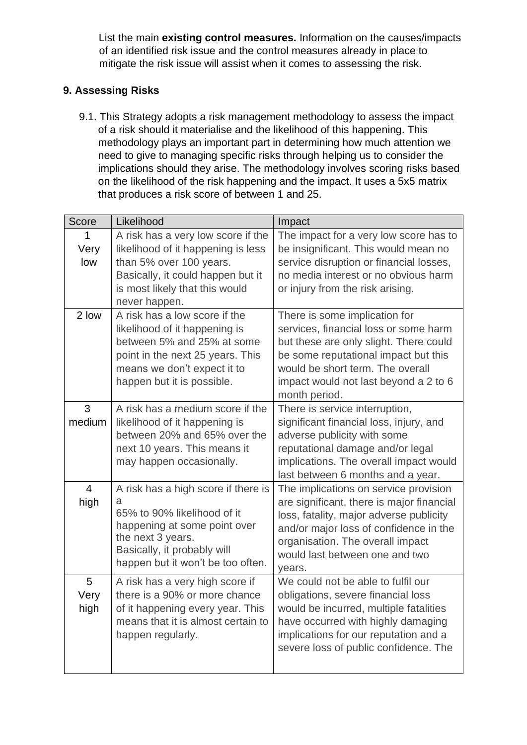List the main **existing control measures.** Information on the causes/impacts of an identified risk issue and the control measures already in place to mitigate the risk issue will assist when it comes to assessing the risk.

# **9. Assessing Risks**

9.1. This Strategy adopts a risk management methodology to assess the impact of a risk should it materialise and the likelihood of this happening. This methodology plays an important part in determining how much attention we need to give to managing specific risks through helping us to consider the implications should they arise. The methodology involves scoring risks based on the likelihood of the risk happening and the impact. It uses a 5x5 matrix that produces a risk score of between 1 and 25.

| Score                  | Likelihood                                                                                                                                                                                       | Impact                                                                                                                                                                                                                                                  |
|------------------------|--------------------------------------------------------------------------------------------------------------------------------------------------------------------------------------------------|---------------------------------------------------------------------------------------------------------------------------------------------------------------------------------------------------------------------------------------------------------|
| 1<br>Very<br>low       | A risk has a very low score if the<br>likelihood of it happening is less<br>than 5% over 100 years.<br>Basically, it could happen but it<br>is most likely that this would<br>never happen.      | The impact for a very low score has to<br>be insignificant. This would mean no<br>service disruption or financial losses,<br>no media interest or no obvious harm<br>or injury from the risk arising.                                                   |
| 2 low                  | A risk has a low score if the<br>likelihood of it happening is<br>between 5% and 25% at some<br>point in the next 25 years. This<br>means we don't expect it to<br>happen but it is possible.    | There is some implication for<br>services, financial loss or some harm<br>but these are only slight. There could<br>be some reputational impact but this<br>would be short term. The overall<br>impact would not last beyond a 2 to 6<br>month period.  |
| 3<br>medium            | A risk has a medium score if the<br>likelihood of it happening is<br>between 20% and 65% over the<br>next 10 years. This means it<br>may happen occasionally.                                    | There is service interruption,<br>significant financial loss, injury, and<br>adverse publicity with some<br>reputational damage and/or legal<br>implications. The overall impact would<br>last between 6 months and a year.                             |
| $\overline{4}$<br>high | A risk has a high score if there is<br>a<br>65% to 90% likelihood of it<br>happening at some point over<br>the next 3 years.<br>Basically, it probably will<br>happen but it won't be too often. | The implications on service provision<br>are significant, there is major financial<br>loss, fatality, major adverse publicity<br>and/or major loss of confidence in the<br>organisation. The overall impact<br>would last between one and two<br>years. |
| 5<br>Very<br>high      | A risk has a very high score if<br>there is a 90% or more chance<br>of it happening every year. This<br>means that it is almost certain to<br>happen regularly.                                  | We could not be able to fulfil our<br>obligations, severe financial loss<br>would be incurred, multiple fatalities<br>have occurred with highly damaging<br>implications for our reputation and a<br>severe loss of public confidence. The              |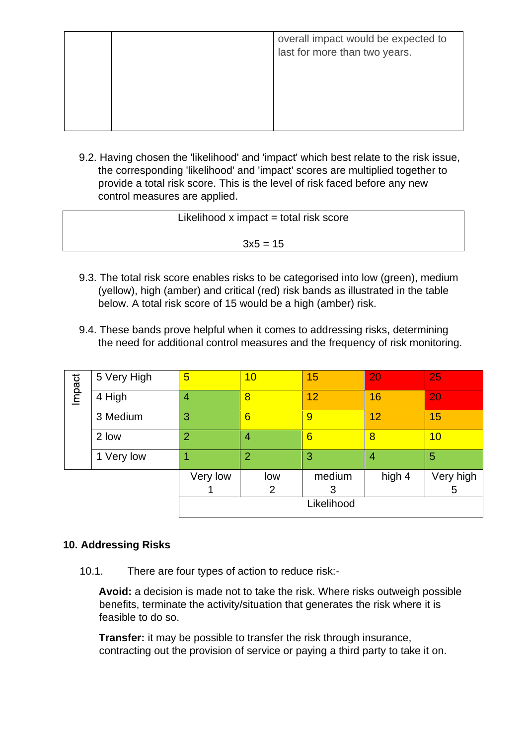| overall impact would be expected to<br>last for more than two years. |
|----------------------------------------------------------------------|
|                                                                      |
|                                                                      |

9.2. Having chosen the 'likelihood' and 'impact' which best relate to the risk issue, the corresponding 'likelihood' and 'impact' scores are multiplied together to provide a total risk score. This is the level of risk faced before any new control measures are applied.

| Likelihood $x$ impact $=$ total risk score |  |
|--------------------------------------------|--|
| $3x5 = 15$                                 |  |

- 9.3. The total risk score enables risks to be categorised into low (green), medium (yellow), high (amber) and critical (red) risk bands as illustrated in the table below. A total risk score of 15 would be a high (amber) risk.
- 9.4. These bands prove helpful when it comes to addressing risks, determining the need for additional control measures and the frequency of risk monitoring.

| Impact | 5 Very High | $5\overline{)}$ | 10              | 15              | 20     | 25        |
|--------|-------------|-----------------|-----------------|-----------------|--------|-----------|
|        | 4 High      | 4               | 8               | 12              | 16     | 20        |
|        | 3 Medium    | 3               | $6\phantom{1}6$ | 9               | 12     | 15        |
|        | 2 low       | $\overline{2}$  | 4               | $6\phantom{1}6$ | 8      | 10        |
|        | 1 Very low  |                 | $\overline{2}$  | 3               | 4      | 5         |
|        |             | Very low        | low             | medium          | high 4 | Very high |
|        |             |                 | $\overline{2}$  | 3               |        | 5         |
|        |             | Likelihood      |                 |                 |        |           |

# **10. Addressing Risks**

10.1. There are four types of action to reduce risk:-

**Avoid:** a decision is made not to take the risk. Where risks outweigh possible benefits, terminate the activity/situation that generates the risk where it is feasible to do so.

**Transfer:** it may be possible to transfer the risk through insurance, contracting out the provision of service or paying a third party to take it on.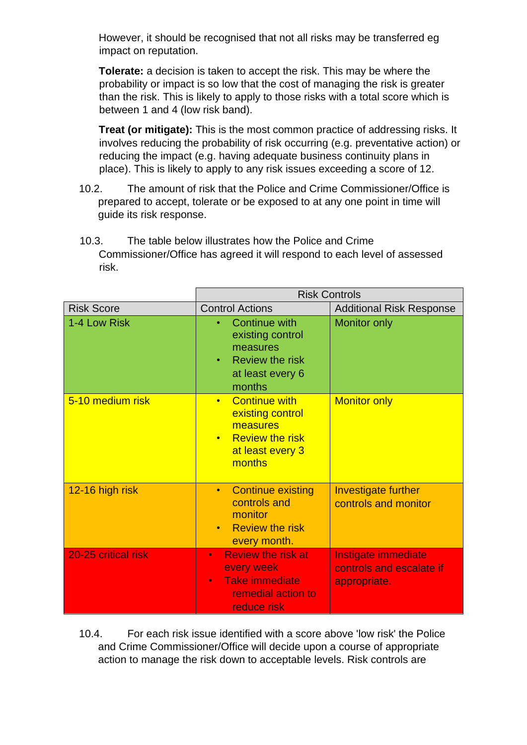However, it should be recognised that not all risks may be transferred eg impact on reputation.

**Tolerate:** a decision is taken to accept the risk. This may be where the probability or impact is so low that the cost of managing the risk is greater than the risk. This is likely to apply to those risks with a total score which is between 1 and 4 (low risk band).

**Treat (or mitigate):** This is the most common practice of addressing risks. It involves reducing the probability of risk occurring (e.g. preventative action) or reducing the impact (e.g. having adequate business continuity plans in place). This is likely to apply to any risk issues exceeding a score of 12.

- 10.2. The amount of risk that the Police and Crime Commissioner/Office is prepared to accept, tolerate or be exposed to at any one point in time will guide its risk response.
- 10.3. The table below illustrates how the Police and Crime Commissioner/Office has agreed it will respond to each level of assessed risk.

|                     | <b>Risk Controls</b>                                                                                                                   |                                                                 |  |
|---------------------|----------------------------------------------------------------------------------------------------------------------------------------|-----------------------------------------------------------------|--|
| <b>Risk Score</b>   | <b>Control Actions</b>                                                                                                                 | <b>Additional Risk Response</b>                                 |  |
| 1-4 Low Risk        | <b>Continue with</b><br>existing control<br>measures<br><b>Review the risk</b><br>at least every 6<br>months                           | <b>Monitor only</b>                                             |  |
| 5-10 medium risk    | <b>Continue with</b><br>$\bullet$<br>existing control<br>measures<br><b>Review the risk</b><br>$\bullet$<br>at least every 3<br>months | <b>Monitor only</b>                                             |  |
| 12-16 high risk     | <b>Continue existing</b><br>$\bullet$<br>controls and<br>monitor<br><b>Review the risk</b><br>every month.                             | <b>Investigate further</b><br>controls and monitor              |  |
| 20-25 critical risk | <b>Review the risk at</b><br>$\bullet$<br>every week<br><b>Take immediate</b><br>$\bullet$<br>remedial action to<br>reduce risk        | Instigate immediate<br>controls and escalate if<br>appropriate. |  |

10.4. For each risk issue identified with a score above 'low risk' the Police and Crime Commissioner/Office will decide upon a course of appropriate action to manage the risk down to acceptable levels. Risk controls are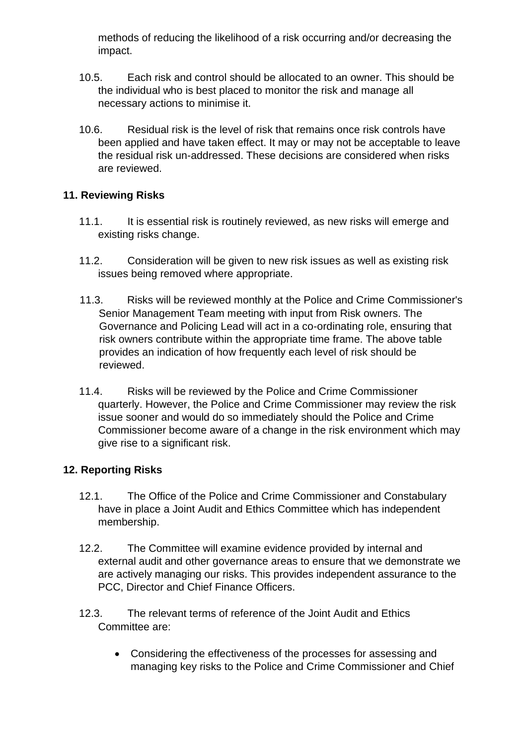methods of reducing the likelihood of a risk occurring and/or decreasing the impact.

- 10.5. Each risk and control should be allocated to an owner. This should be the individual who is best placed to monitor the risk and manage all necessary actions to minimise it.
- 10.6. Residual risk is the level of risk that remains once risk controls have been applied and have taken effect. It may or may not be acceptable to leave the residual risk un-addressed. These decisions are considered when risks are reviewed.

## **11. Reviewing Risks**

- 11.1. It is essential risk is routinely reviewed, as new risks will emerge and existing risks change.
- 11.2. Consideration will be given to new risk issues as well as existing risk issues being removed where appropriate.
- 11.3. Risks will be reviewed monthly at the Police and Crime Commissioner's Senior Management Team meeting with input from Risk owners. The Governance and Policing Lead will act in a co-ordinating role, ensuring that risk owners contribute within the appropriate time frame. The above table provides an indication of how frequently each level of risk should be reviewed.
- 11.4. Risks will be reviewed by the Police and Crime Commissioner quarterly. However, the Police and Crime Commissioner may review the risk issue sooner and would do so immediately should the Police and Crime Commissioner become aware of a change in the risk environment which may give rise to a significant risk.

# **12. Reporting Risks**

- 12.1. The Office of the Police and Crime Commissioner and Constabulary have in place a Joint Audit and Ethics Committee which has independent membership.
- 12.2. The Committee will examine evidence provided by internal and external audit and other governance areas to ensure that we demonstrate we are actively managing our risks. This provides independent assurance to the PCC, Director and Chief Finance Officers.
- 12.3. The relevant terms of reference of the Joint Audit and Ethics Committee are:
	- Considering the effectiveness of the processes for assessing and managing key risks to the Police and Crime Commissioner and Chief